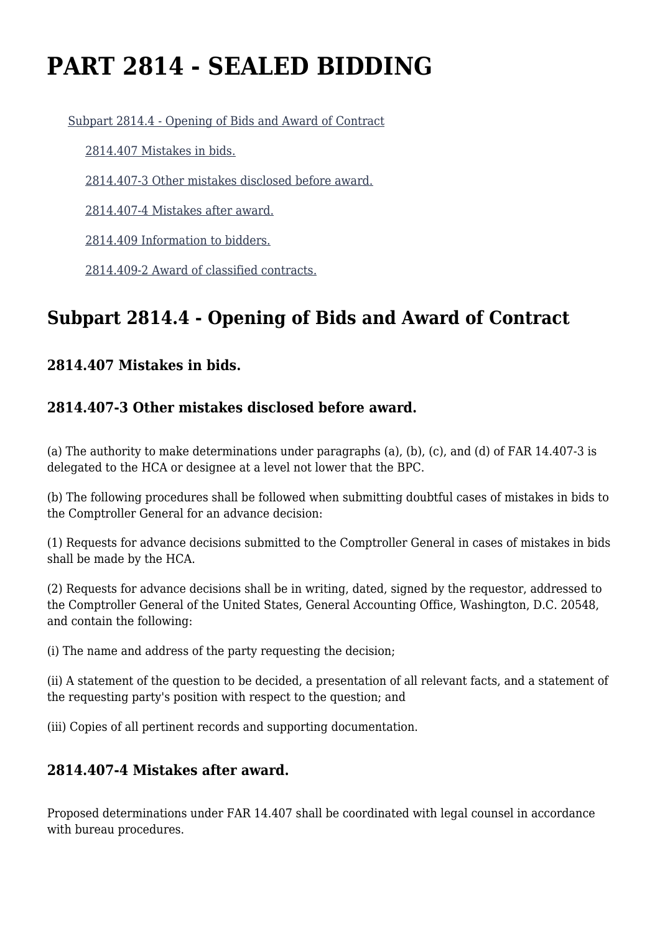# **PART 2814 - SEALED BIDDING**

[Subpart 2814.4 - Opening of Bids and Award of Contract](https://login.acquisition.gov/%5Brp:link:jar-part-2814%5D#Subpart_2814_4_T48_601162141)

[2814.407 Mistakes in bids.](https://login.acquisition.gov/%5Brp:link:jar-part-2814%5D#Section_2814_407_T48_60116214111)

[2814.407-3 Other mistakes disclosed before award.](https://login.acquisition.gov/%5Brp:link:jar-part-2814%5D#Section_2814_407_3_T48_60116214112)

[2814.407-4 Mistakes after award.](https://login.acquisition.gov/%5Brp:link:jar-part-2814%5D#Section_2814_407_4_T48_60116214113)

[2814.409 Information to bidders.](https://login.acquisition.gov/%5Brp:link:jar-part-2814%5D#Section_2814_409_T48_60116214114)

[2814.409-2 Award of classified contracts.](https://login.acquisition.gov/%5Brp:link:jar-part-2814%5D#Section_2814_409_2_T48_60116214115)

# **Subpart 2814.4 - Opening of Bids and Award of Contract**

#### **2814.407 Mistakes in bids.**

### **2814.407-3 Other mistakes disclosed before award.**

(a) The authority to make determinations under paragraphs (a), (b), (c), and (d) of FAR 14.407-3 is delegated to the HCA or designee at a level not lower that the BPC.

(b) The following procedures shall be followed when submitting doubtful cases of mistakes in bids to the Comptroller General for an advance decision:

(1) Requests for advance decisions submitted to the Comptroller General in cases of mistakes in bids shall be made by the HCA.

(2) Requests for advance decisions shall be in writing, dated, signed by the requestor, addressed to the Comptroller General of the United States, General Accounting Office, Washington, D.C. 20548, and contain the following:

(i) The name and address of the party requesting the decision;

(ii) A statement of the question to be decided, a presentation of all relevant facts, and a statement of the requesting party's position with respect to the question; and

(iii) Copies of all pertinent records and supporting documentation.

#### **2814.407-4 Mistakes after award.**

Proposed determinations under FAR 14.407 shall be coordinated with legal counsel in accordance with bureau procedures.